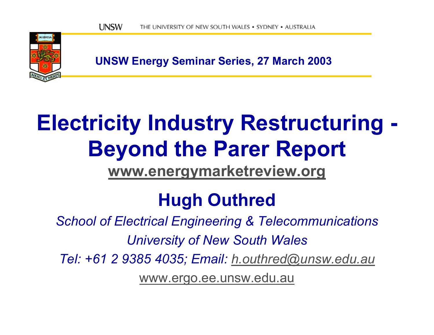

**UNSW Energy Seminar Series, 27 March 2003**

# **Electricity Industry Restructuring - Beyond the Parer Report**

**[www.energymarketreview.org](http://www.energymarketreview.org/)**

### **Hugh Outhred**

*School of Electrical Engineering & Telecommunications University of New South Wales Tel: +61 2 9385 4035; Email: [h.outhred@unsw.edu.au](mailto:h.outhred@unsw.edu.au)*

[www.ergo.ee.unsw.edu.au](http://www.ergo.ee.unsw.edu.au/)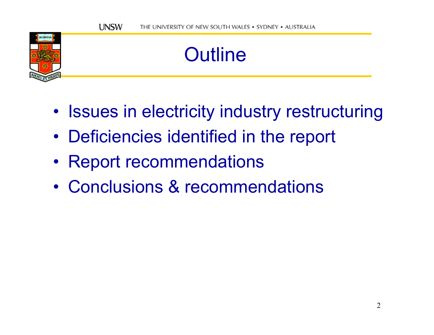### **Outline**

- Issues in electricity industry restructuring
- •Deficiencies identified in the report
- Report recommendations

**SCIENTIA** 

• Conclusions & recommendations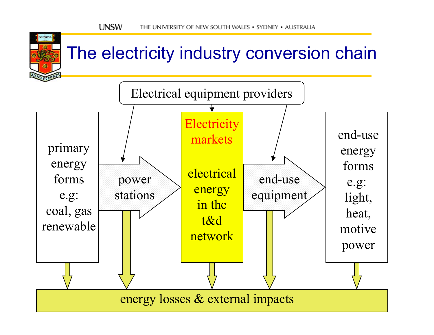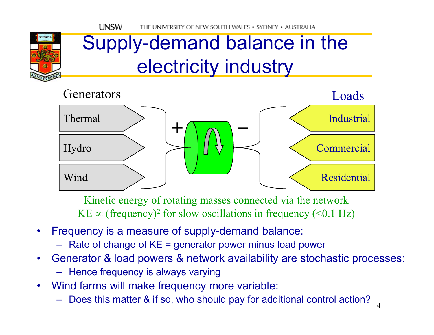### Supply-demand balance in the electricity industry



Kinetic energy of rotating masses connected via the network KE  $\propto$  (frequency)<sup>2</sup> for slow oscillations in frequency (<0.1 Hz)

- •Frequency is a measure of supply-demand balance:
	- Rate of change of KE = generator power minus load power
- •Generator & load powers & network availability are stochastic processes:
	- Hence frequency is always varying
- •Wind farms will make frequency more variable:
	- –Does this matter & if so, who should pay for additional control action?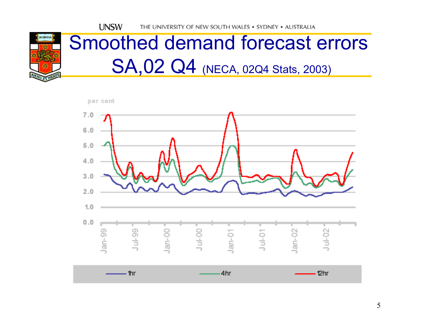

### Smoothed demand forecast errors SA,02 Q4 (NECA, 02Q4 Stats, 2003)

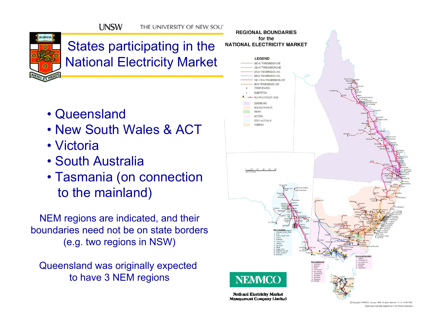

#### States participating in the National Electricity Market

- •Queensland
- •New South Wales & ACT
- Victoria
- •South Australia
- Tasmania (on connection to the mainland)

NEM regions are indicated, and their boundaries need not be on state borders(e.g. two regions in NSW)

Queensland was originally expected to have 3 NEM regions



Conveight NEMMCO January 1999 All rights reserved PL 0112 98 V00 Digital base map data supplied by ETSA Power Corporation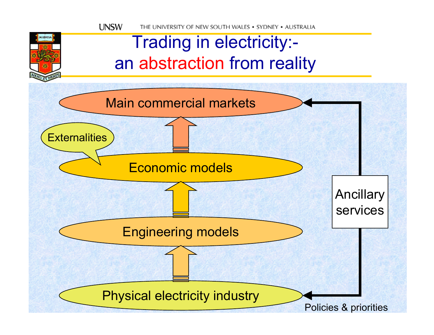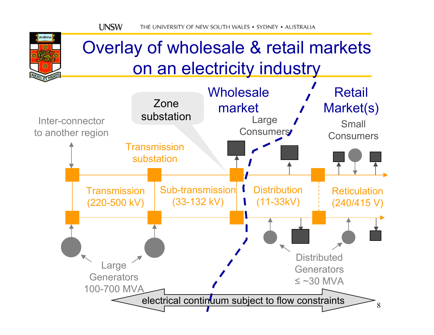SCIENTIA

### Overlay of wholesale & retail markets on an electricity industry

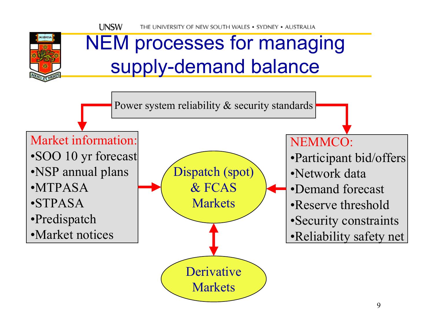### NEM processes for managing supply-demand balance

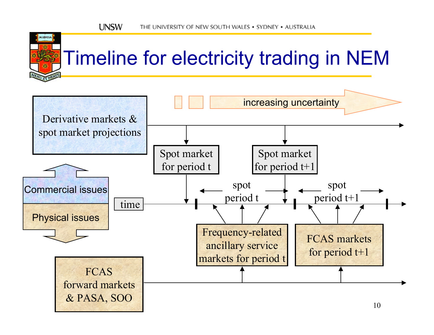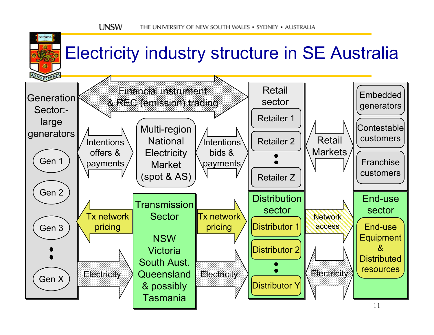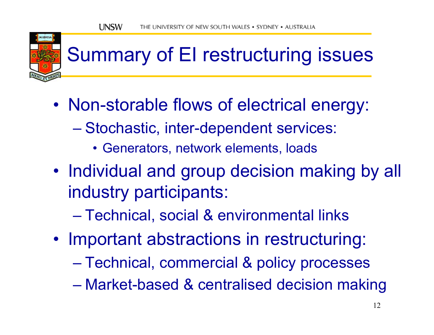

## Summary of EI restructuring issues

- • Non-storable flows of electrical energy:
	- Stochastic, inter-dependent services:
		- Generators, network elements, loads
- Individual and group decision making by all industry participants:
	- Technical, social & environmental links
- Important abstractions in restructuring:
	- Technical, commercial & policy processes
	- Market-based & centralised decision making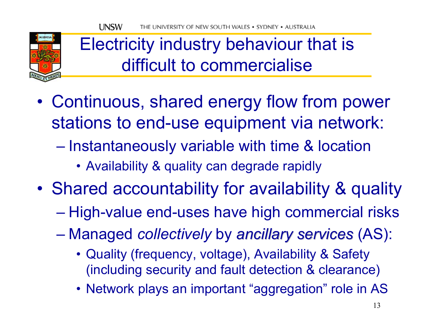

### Electricity industry behaviour that is difficult to commercialise

- • Continuous, shared energy flow from power stations to end-use equipment via network:
	- $\mathcal{L}_{\mathcal{A}}$  , and the set of the set of the set of the set of the set of the set of the set of the set of the set of the set of the set of the set of the set of the set of the set of the set of the set of the set of th – Instantaneously variable with time & location
		- Availability & quality can degrade rapidly
- • Shared accountability for availability & quality
	- High-value end-uses have high commercial risks
	- Managed *collectively* by *ancillary services ancillary services* (AS):
		- Quality (frequency, voltage), Availability & Safety (including security and fault detection & clearance)
		- Network plays an important "aggregation" role in AS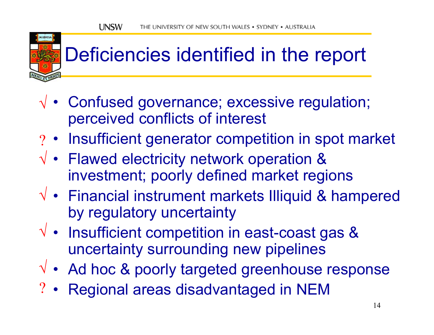### Deficiencies identified in the report

- Confused governance; excessive regulation; √ perceived conflicts of interest
- Insufficient generator competition in spot market ?
- Flawed electricity network operation & √ investment; poorly defined market regions
- Financial instrument markets Illiquid & hampered √ by regulatory uncertainty
- $\sqrt{\phantom{a}}$  Insufficient competition in east-coast gas & uncertainty surrounding new pipelines
- Ad hoc & poorly targeted greenhouse response √
- Regional areas disadvantaged in NEM ?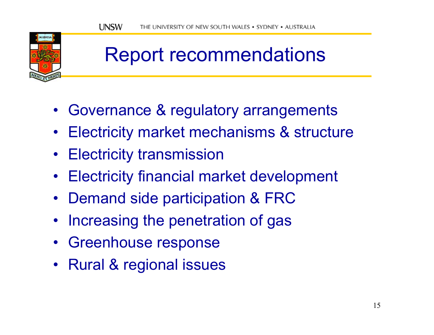### Report recommendations

- Governance & regulatory arrangements
- Electricity market mechanisms & structure
- Electricity transmission
- Electricity financial market development
- Demand side participation & FRC
- Increasing the penetration of gas
- Greenhouse response
- Rural & regional issues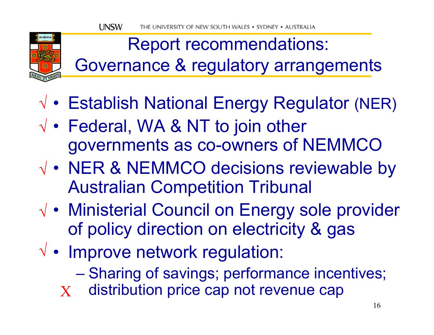

Report recommendations: Governance & regulatory arrangements

- Establish National Energy Regulator (NER) √
- • $\sqrt{\bullet}$  Federal, WA & NT to join other governments as co-owners of NEMMCO
- • $\sqrt{\cdot}$  NER & NEMMCO decisions reviewable by Australian Competition Tribunal
- •√ • Ministerial Council on Energy sole provider of policy direction on electricity & gas
- Improve network regulation: √
	- Sharing of savings; performance incentives;
	- distribution price cap not revenue cap X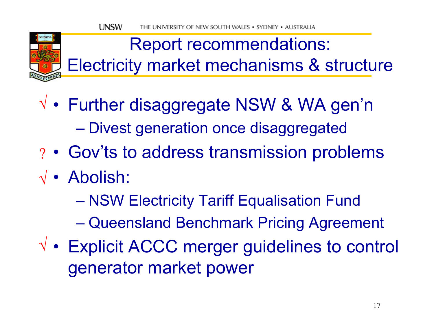

Report recommendations: Electricity market mechanisms & structure

- • Further disaggregate NSW & WA gen'n √ – Divest generation once disaggregated
- •? • Gov'ts to address transmission problems
- •Abolish: √
	- NSW Electricity Tariff Equalisation Fund
	- Queensland Benchmark Pricing Agreement
- • $\sqrt{\phantom{a}}$  • Explicit ACCC merger guidelines to control generator market power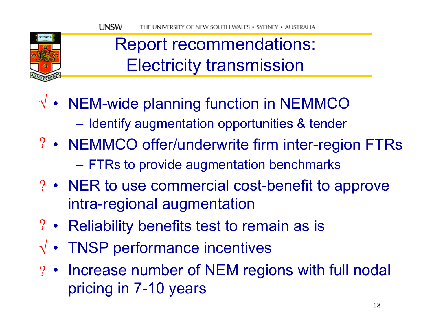

### Report recommendations: Electricity transmission

- NEM-wide planning function in NEMMCO √
	- $-$  Identify augmentation opportunities & tender
- NEMMCO offer/underwrite firm inter-region FTRs ? FTRs to provide augmentation benchmarks
- NER to use commercial cost-benefit to approve ? intra-regional augmentation
- Reliability benefits test to remain as is ?
- TNSP performance incentives √
- Increase number of NEM regions with full nodal ?pricing in 7-10 years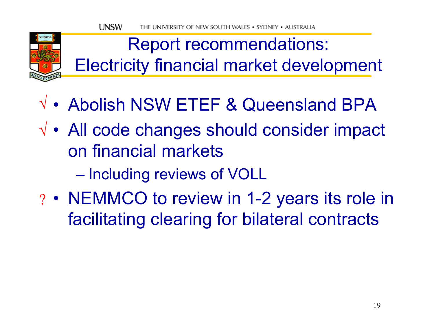

Report recommendations: Electricity financial market development

- •√ • Abolish NSW ETEF & Queensland BPA
- • All code changes should consider impact √ on financial markets
	- Including reviews of VOLL
- •? • NEMMCO to review in 1-2 years its role in facilitating clearing for bilateral contracts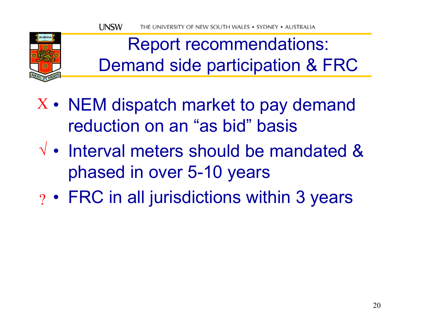

Report recommendations: Demand side participation & FRC

- • $X$   $\bullet$  NEM dispatch market to pay demand reduction on an "as bid" basis
- $\sqrt{\bullet}$  Interval meters should be mandated & phased in over 5-10 years
- • $_{?} \cdot$  FRC in all jurisdictions within 3 years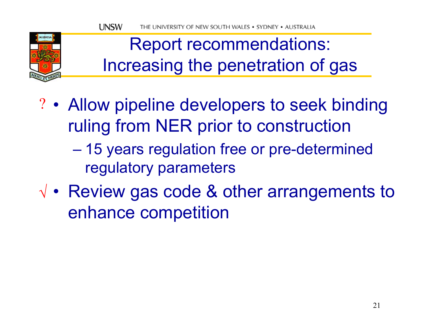

Report recommendations: Increasing the penetration of gas

- • Allow pipeline developers to seek binding ? ruling from NER prior to construction
	- $\mathcal{L}_{\mathcal{A}}$  , and the set of the set of the set of the set of the set of the set of the set of the set of the set of the set of the set of the set of the set of the set of the set of the set of the set of the set of th 15 years regulation free or pre-determined regulatory parameters
- • $\sqrt{\bullet}$  Review gas code & other arrangements to enhance competition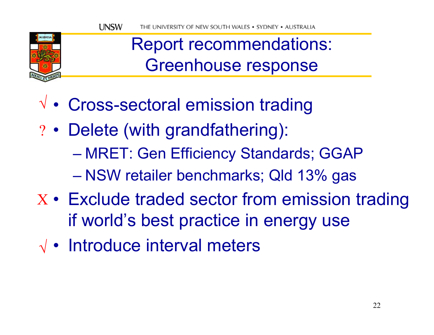

### Report recommendations: Greenhouse response

- •Cross-sectoral emission trading √
- •? • Delete (with grandfathering):
	- MRET: Gen Efficiency Standards; GGAP
	- NSW retailer benchmarks; Qld 13% gas
- •X • Exclude traded sector from emission trading if world's best practice in energy use
- Introduce interval meters √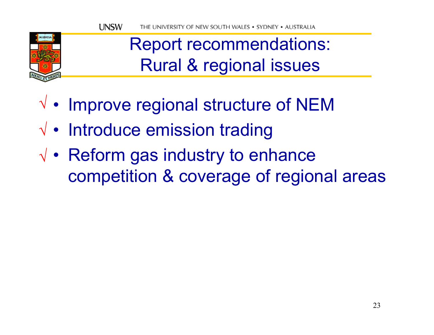

### Report recommendations: Rural & regional issues

- • $\sqrt{\phantom{a}}$  Improve regional structure of NEM
- Introduce emission trading √
- • $\sqrt{\bullet}$  Reform gas industry to enhance competition & coverage of regional areas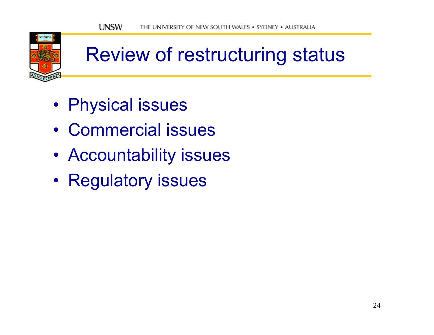

### Review of restructuring status

- •Physical issues
- •Commercial issues
- Accountability issues
- •• Regulatory issues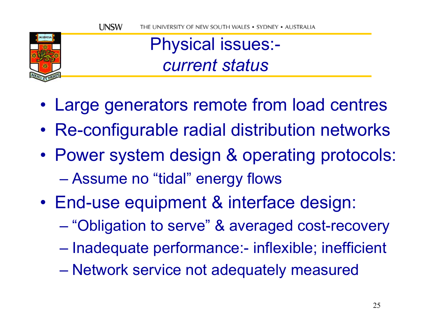

Physical issues: *current status*

- •Large generators remote from load centres
- •Re-configurable radial distribution networks
- • Power system design & operating protocols: – Assume no "tidal" energy flows
- • End-use equipment & interface design:
	- "Obligation to serve" & averaged cost-recovery
	- $\mathcal{L}_{\mathcal{A}}$  , and the set of the set of the set of the set of the set of the set of the set of the set of the set of the set of the set of the set of the set of the set of the set of the set of the set of the set of th - Inadequate performance:- inflexible; inefficient
	- Network service not adequately measured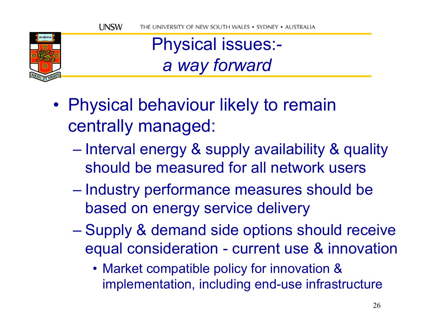

Physical issues: *a way forward*

- • Physical behaviour likely to remain centrally managed:
	- $\mathcal{L}_{\mathcal{A}}$  , and the set of the set of the set of the set of the set of the set of the set of the set of the set of the set of the set of the set of the set of the set of the set of the set of the set of the set of th – Interval energy & supply availability & quality should be measured for all network users
	- $\mathcal{L}_{\mathcal{A}}$  , and the set of the set of the set of the set of the set of the set of the set of the set of the set of the set of the set of the set of the set of the set of the set of the set of the set of the set of th - Industry performance measures should be based on energy service delivery
	- Supply & demand side options should receive equal consideration - current use & innovation
		- Market compatible policy for innovation & implementation, including end-use infrastructure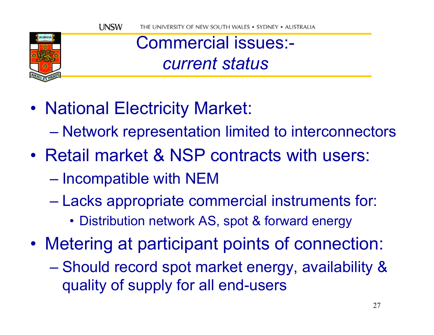

Commercial issues: *current status*

- • National Electricity Market:
	- Network representation limited to interconnectors
- •Retail market & NSP contracts with users:
	- $\mathcal{L}_{\mathcal{A}}$  , and the set of the set of the set of the set of the set of the set of the set of the set of the set of the set of the set of the set of the set of the set of the set of the set of the set of the set of th  $-$  Incompatible with NEM
	- – Lacks appropriate commercial instruments for:
		- Distribution network AS, spot & forward energy
- • Metering at participant points of connection:
	- Should record spot market energy, availability & quality of supply for all end-users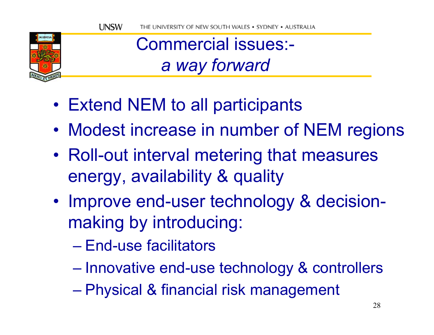

Commercial issues: *a way forward*

- Extend NEM to all participants
- •Modest increase in number of NEM regions
- • Roll-out interval metering that measures energy, availability & quality
- •• Improve end-user technology & decisionmaking by introducing:
	- –End-use facilitators
	- Innovative end-use technology & controllers
	- Physical & financial risk management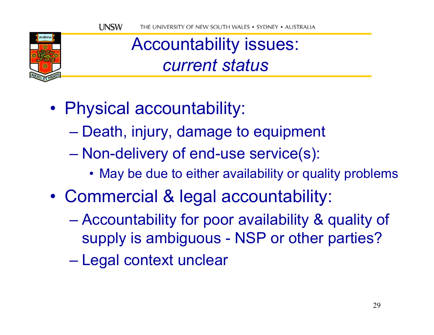

#### Accountability issues: *current status*

- • Physical accountability:
	- Death, injury, damage to equipment
	- Non-delivery of end-use service(s):
		- May be due to either availability or quality problems
- • Commercial & legal accountability:
	- Accountability for poor availability & quality of supply is ambiguous - NSP or other parties?
	- $\mathcal{L}_{\mathcal{A}}$  , and the set of the set of the set of the set of the set of the set of the set of the set of the set of the set of the set of the set of the set of the set of the set of the set of the set of the set of th Legal context unclear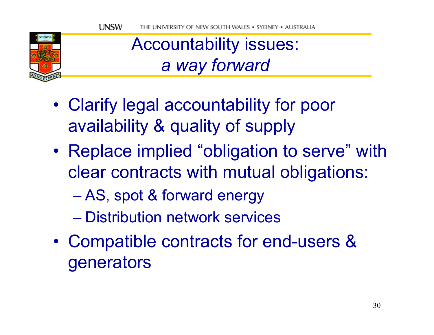

Accountability issues: *a way forward*

- • Clarify legal accountability for poor availability & quality of supply
- • Replace implied "obligation to serve" with clear contracts with mutual obligations:
	- AS, spot & forward energy
	- –Distribution network services
- • Compatible contracts for end-users & generators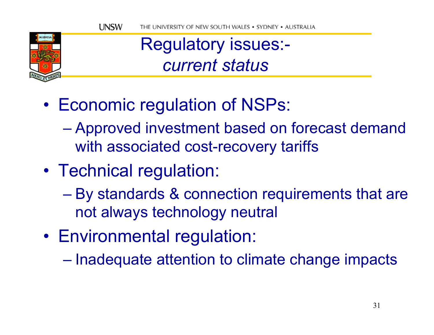

#### Regulatory issues: *current status*

- • Economic regulation of NSPs:
	- Approved investment based on forecast demand with associated cost-recovery tariffs
- • Technical regulation:
	- By standards & connection requirements that are not always technology neutral
- •Environmental regulation:

 $\mathcal{L}_{\mathcal{A}}$  , and the set of the set of the set of the set of the set of the set of the set of the set of the set of the set of the set of the set of the set of the set of the set of the set of the set of the set of th  $-$  Inadequate attention to climate change impacts